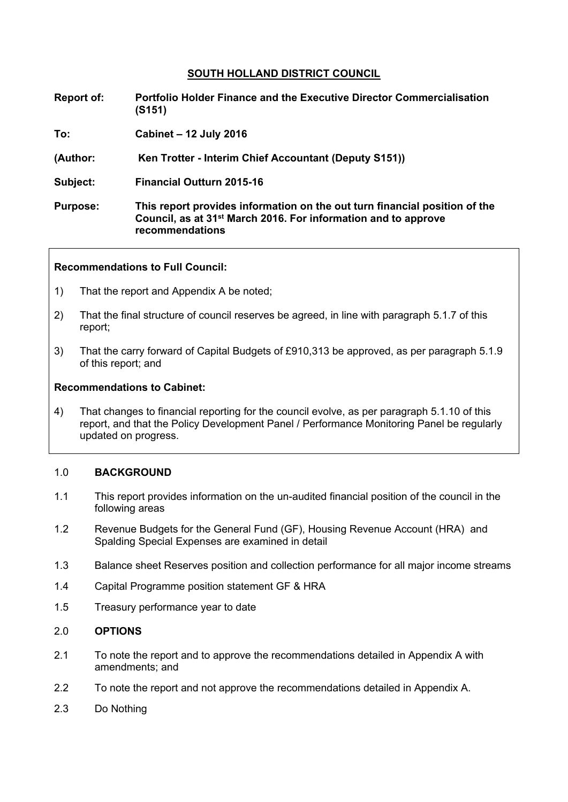# **SOUTH HOLLAND DISTRICT COUNCIL**

- **Report of: Portfolio Holder Finance and the Executive Director Commercialisation (S151)**
- **To: Cabinet – 12 July 2016**
- **(Author: Ken Trotter - Interim Chief Accountant (Deputy S151))**
- **Subject: Financial Outturn 2015-16**
- **Purpose: This report provides information on the out turn financial position of the Council, as at 31st March 2016. For information and to approve recommendations**

### **Recommendations to Full Council:**

- 1) That the report and Appendix A be noted;
- 2) That the final structure of council reserves be agreed, in line with paragraph 5.1.7 of this report;
- 3) That the carry forward of Capital Budgets of £910,313 be approved, as per paragraph 5.1.9 of this report; and

### **Recommendations to Cabinet:**

4) That changes to financial reporting for the council evolve, as per paragraph 5.1.10 of this report, and that the Policy Development Panel / Performance Monitoring Panel be regularly updated on progress.

#### 1.0 **BACKGROUND**

- 1.1 This report provides information on the un-audited financial position of the council in the following areas
- 1.2 Revenue Budgets for the General Fund (GF), Housing Revenue Account (HRA) and Spalding Special Expenses are examined in detail
- 1.3 Balance sheet Reserves position and collection performance for all major income streams
- 1.4 Capital Programme position statement GF & HRA
- 1.5 Treasury performance year to date

### 2.0 **OPTIONS**

- 2.1 To note the report and to approve the recommendations detailed in Appendix A with amendments; and
- 2.2 To note the report and not approve the recommendations detailed in Appendix A.
- 2.3 Do Nothing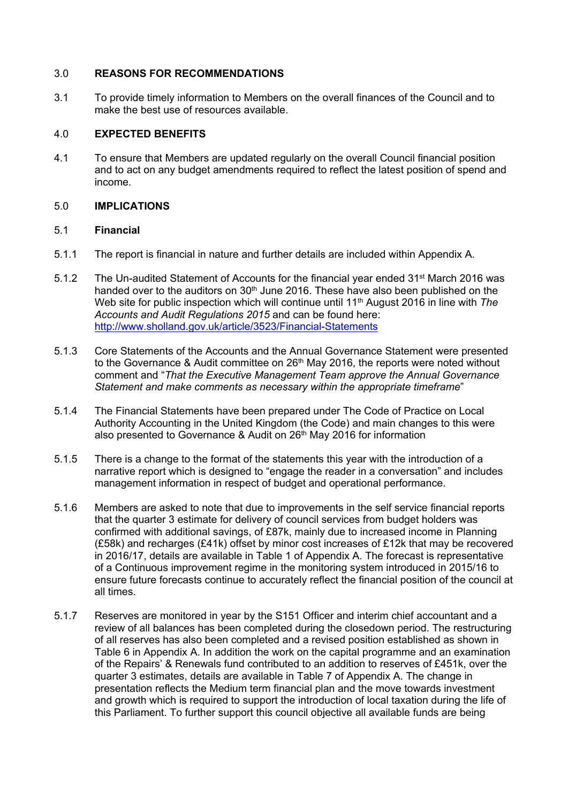## 3.0 **REASONS FOR RECOMMENDATIONS**

3.1 To provide timely information to Members on the overall finances of the Council and to make the best use of resources available.

# 4.0 **EXPECTED BENEFITS**

4.1 To ensure that Members are updated regularly on the overall Council financial position and to act on any budget amendments required to reflect the latest position of spend and income.

# 5.0 **IMPLICATIONS**

# 5.1 **Financial**

- 5.1.1 The report is financial in nature and further details are included within Appendix A.
- 5.1.2 The Un-audited Statement of Accounts for the financial year ended 31<sup>st</sup> March 2016 was handed over to the auditors on 30<sup>th</sup> June 2016. These have also been published on the Web site for public inspection which will continue until 11<sup>th</sup> August 2016 in line with *The Accounts and Audit Regulations 2015* and can be found here: <http://www.sholland.gov.uk/article/3523/Financial-Statements>
- 5.1.3 Core Statements of the Accounts and the Annual Governance Statement were presented to the Governance & Audit committee on 26<sup>th</sup> May 2016, the reports were noted without comment and "*That the Executive Management Team approve the Annual Governance Statement and make comments as necessary within the appropriate timeframe*"
- 5.1.4 The Financial Statements have been prepared under The Code of Practice on Local Authority Accounting in the United Kingdom (the Code) and main changes to this were also presented to Governance & Audit on 26<sup>th</sup> May 2016 for information
- 5.1.5 There is a change to the format of the statements this year with the introduction of a narrative report which is designed to "engage the reader in a conversation" and includes management information in respect of budget and operational performance.
- 5.1.6 Members are asked to note that due to improvements in the self service financial reports that the quarter 3 estimate for delivery of council services from budget holders was confirmed with additional savings, of £87k, mainly due to increased income in Planning (£58k) and recharges (£41k) offset by minor cost increases of £12k that may be recovered in 2016/17, details are available in Table 1 of Appendix A. The forecast is representative of a Continuous improvement regime in the monitoring system introduced in 2015/16 to ensure future forecasts continue to accurately reflect the financial position of the council at all times.
- 5.1.7 Reserves are monitored in year by the S151 Officer and interim chief accountant and a review of all balances has been completed during the closedown period. The restructuring of all reserves has also been completed and a revised position established as shown in Table 6 in Appendix A. In addition the work on the capital programme and an examination of the Repairs' & Renewals fund contributed to an addition to reserves of £451k, over the quarter 3 estimates, details are available in Table 7 of Appendix A. The change in presentation reflects the Medium term financial plan and the move towards investment and growth which is required to support the introduction of local taxation during the life of this Parliament. To further support this council objective all available funds are being